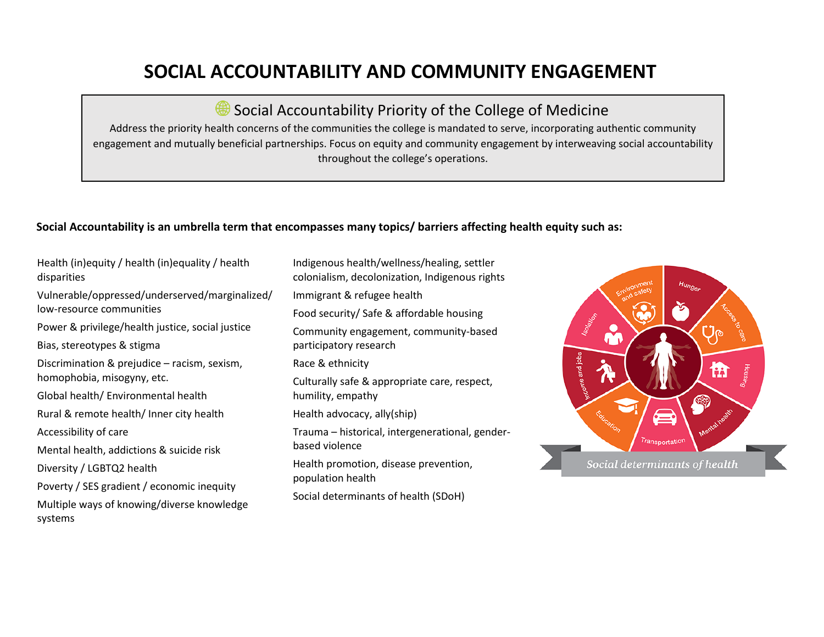## **SOCIAL ACCOUNTABILITY AND COMMUNITY ENGAGEMENT**

Social Accountability Priority of the College of Medicine

Address the priority health concerns of the communities the college is mandated to serve, incorporating authentic community engagement and mutually beneficial partnerships. Focus on equity and community engagement by interweaving social accountability throughout the college's operations.

## **Social Accountability is an umbrella term that encompasses many topics/ barriers affecting health equity such as:**

Health (in)equity / health (in)equality / health disparities Vulnerable/oppressed/underserved/marginalized/ low-resource communities Power & privilege/health justice, social justice Bias, stereotypes & stigma Discrimination & prejudice – racism, sexism, homophobia, misogyny, etc. Global health/ Environmental health Rural & remote health/ Inner city health Accessibility of care Mental health, addictions & suicide risk Diversity / LGBTQ2 health Poverty / SES gradient / economic inequity Multiple ways of knowing/diverse knowledge systems

Indigenous health/wellness/healing, settler colonialism, decolonization, Indigenous rights Immigrant & refugee health Food security/ Safe & affordable housing Community engagement, community-based participatory research Race & ethnicity Culturally safe & appropriate care, respect, humility, empathy Health advocacy, ally(ship) Trauma – historical, intergenerational, genderbased violence Health promotion, disease prevention, population health Social determinants of health (SDoH)

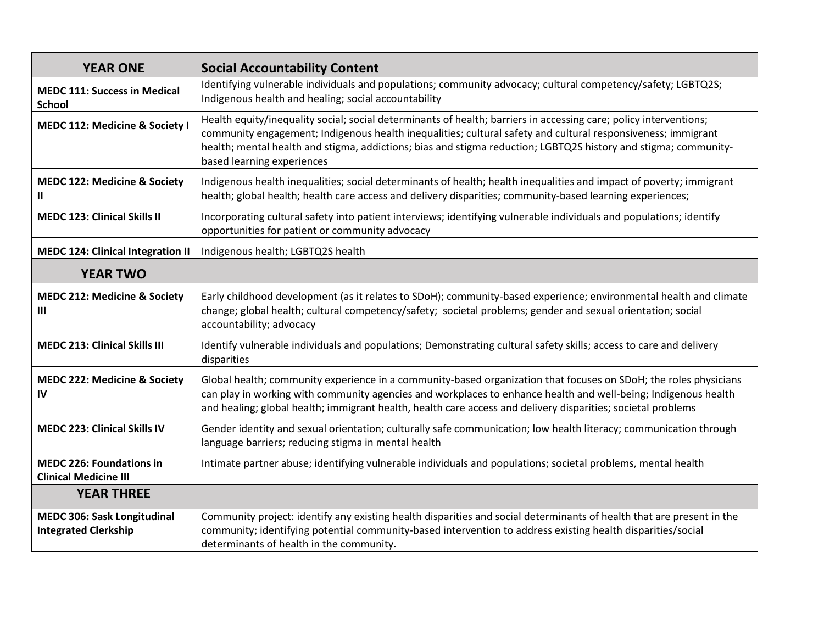| <b>YEAR ONE</b>                                                   | <b>Social Accountability Content</b>                                                                                                                                                                                                                                                                                                                                               |
|-------------------------------------------------------------------|------------------------------------------------------------------------------------------------------------------------------------------------------------------------------------------------------------------------------------------------------------------------------------------------------------------------------------------------------------------------------------|
| <b>MEDC 111: Success in Medical</b><br><b>School</b>              | Identifying vulnerable individuals and populations; community advocacy; cultural competency/safety; LGBTQ2S;<br>Indigenous health and healing; social accountability                                                                                                                                                                                                               |
| <b>MEDC 112: Medicine &amp; Society I</b>                         | Health equity/inequality social; social determinants of health; barriers in accessing care; policy interventions;<br>community engagement; Indigenous health inequalities; cultural safety and cultural responsiveness; immigrant<br>health; mental health and stigma, addictions; bias and stigma reduction; LGBTQ2S history and stigma; community-<br>based learning experiences |
| <b>MEDC 122: Medicine &amp; Society</b><br>Ш.                     | Indigenous health inequalities; social determinants of health; health inequalities and impact of poverty; immigrant<br>health; global health; health care access and delivery disparities; community-based learning experiences;                                                                                                                                                   |
| <b>MEDC 123: Clinical Skills II</b>                               | Incorporating cultural safety into patient interviews; identifying vulnerable individuals and populations; identify<br>opportunities for patient or community advocacy                                                                                                                                                                                                             |
| <b>MEDC 124: Clinical Integration II</b>                          | Indigenous health; LGBTQ2S health                                                                                                                                                                                                                                                                                                                                                  |
| <b>YEAR TWO</b>                                                   |                                                                                                                                                                                                                                                                                                                                                                                    |
| <b>MEDC 212: Medicine &amp; Society</b><br>Ш                      | Early childhood development (as it relates to SDoH); community-based experience; environmental health and climate<br>change; global health; cultural competency/safety; societal problems; gender and sexual orientation; social<br>accountability; advocacy                                                                                                                       |
| <b>MEDC 213: Clinical Skills III</b>                              | Identify vulnerable individuals and populations; Demonstrating cultural safety skills; access to care and delivery<br>disparities                                                                                                                                                                                                                                                  |
| <b>MEDC 222: Medicine &amp; Society</b><br>IV                     | Global health; community experience in a community-based organization that focuses on SDoH; the roles physicians<br>can play in working with community agencies and workplaces to enhance health and well-being; Indigenous health<br>and healing; global health; immigrant health, health care access and delivery disparities; societal problems                                 |
| <b>MEDC 223: Clinical Skills IV</b>                               | Gender identity and sexual orientation; culturally safe communication; low health literacy; communication through<br>language barriers; reducing stigma in mental health                                                                                                                                                                                                           |
| <b>MEDC 226: Foundations in</b><br><b>Clinical Medicine III</b>   | Intimate partner abuse; identifying vulnerable individuals and populations; societal problems, mental health                                                                                                                                                                                                                                                                       |
| <b>YEAR THREE</b>                                                 |                                                                                                                                                                                                                                                                                                                                                                                    |
| <b>MEDC 306: Sask Longitudinal</b><br><b>Integrated Clerkship</b> | Community project: identify any existing health disparities and social determinants of health that are present in the<br>community; identifying potential community-based intervention to address existing health disparities/social<br>determinants of health in the community.                                                                                                   |